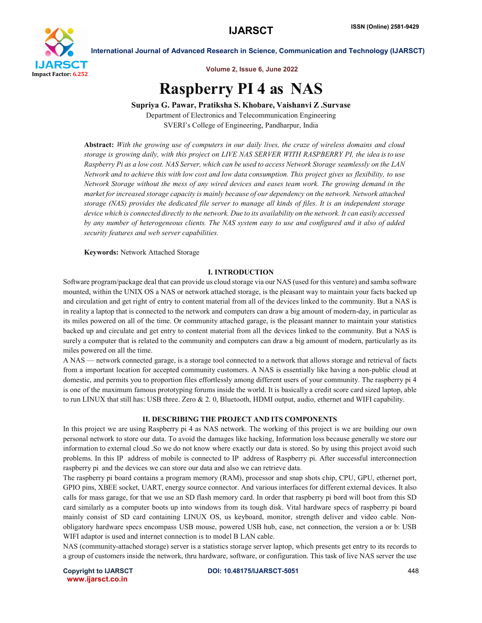

International Journal of Advanced Research in Science, Communication and Technology (IJARSCT)

Volume 2, Issue 6, June 2022

# Raspberry PI 4 as NAS

Supriya G. Pawar, Pratiksha S. Khobare, Vaishanvi Z .Survase Department of Electronics and Telecommunication Engineering

SVERI's College of Engineering, Pandharpur, India

Abstract: *With the growing use of computers in our daily lives, the craze of wireless domains and cloud storage is growing daily, with this project on LIVE NAS SERVER WITH RASPBERRY PI, the idea is to use* Raspberry Pi as a low cost. NAS Server, which can be used to access Network Storage seamlessly on the LAN *Network and to achieve this with low cost and low data consumption. This project gives us flexibility, to use Network Storage without the mess of any wired devices and eases team work. The growing demand in the market for increased storage capacity is mainly because of our dependency on the network. Network attached storage (NAS) provides the dedicated file server to manage all kinds of files. It is an independent storage*  device which is connected directly to the network. Due to its availability on the network. It can easily accessed *by any number of heterogeneous clients. The NAS system easy to use and configured and it also of added security features and web server capabilities.*

Keywords: Network Attached Storage

# I. INTRODUCTION

Software program/package deal that can provide us cloud storage via our NAS (used for this venture) and samba software mounted, within the UNIX OS a NAS or network attached storage, is the pleasant way to maintain your facts backed up and circulation and get right of entry to content material from all of the devices linked to the community. But a NAS is in reality a laptop that is connected to the network and computers can draw a big amount of modern-day, in particular as its miles powered on all of the time. Or community attached garage, is the pleasant manner to maintain your statistics backed up and circulate and get entry to content material from all the devices linked to the community. But a NAS is surely a computer that is related to the community and computers can draw a big amount of modern, particularly as its miles powered on all the time.

A NAS — network connected garage, is a storage tool connected to a network that allows storage and retrieval of facts from a important location for accepted community customers. A NAS is essentially like having a non-public cloud at domestic, and permits you to proportion files effortlessly among different users of your community. The raspberry pi 4 is one of the maximum famous prototyping forums inside the world. It is basically a credit score card sized laptop, able to run LINUX that still has: USB three. Zero & 2. 0, Bluetooth, HDMI output, audio, ethernet and WIFI capability.

### II. DESCRIBING THE PROJECT AND ITS COMPONENTS

In this project we are using Raspberry pi 4 as NAS network. The working of this project is we are building our own personal network to store our data. To avoid the damages like hacking, Information loss because generally we store our information to external cloud .So we do not know where exactly our data is stored. So by using this project avoid such problems. In this IP address of mobile is connected to IP address of Raspberry pi. After successful interconnection raspberry pi and the devices we can store our data and also we can retrieve data.

The raspberry pi board contains a program memory (RAM), processor and snap shots chip, CPU, GPU, ethernet port, GPIO pins, XBEE socket, UART, energy source connector. And various interfaces for different external devices. It also calls for mass garage, for that we use an SD flash memory card. In order that raspberry pi bord will boot from this SD card similarly as a computer boots up into windows from its tough disk. Vital hardware specs of raspberry pi board mainly consist of SD card containing LINUX OS, us keyboard, monitor, strength deliver and video cable. Nonobligatory hardware specs encompass USB mouse, powered USB hub, case, net connection, the version a or b: USB WIFI adaptor is used and internet connection is to model B LAN cable.

NAS (community-attached storage) server is a statistics storage server laptop, which presents get entry to its records to a group of customers inside the network, thru hardware, software, or configuration. This task of live NAS server the use

www.ijarsct.co.in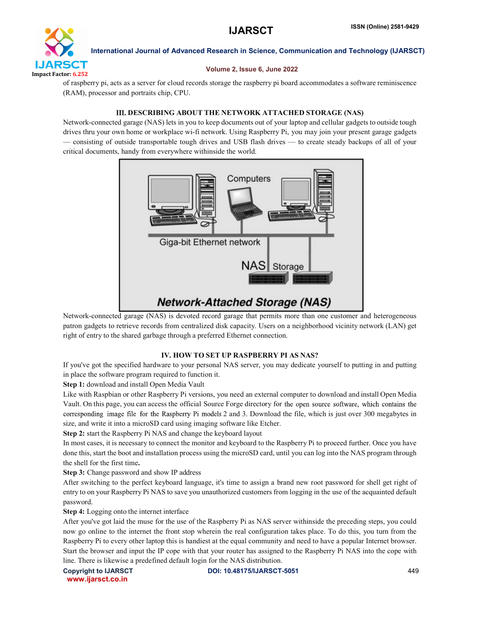

International Journal of Advanced Research in Science, Communication and Technology (IJARSCT)

### Volume 2, Issue 6, June 2022

of raspberry pi, acts as a server for cloud records storage the raspberry pi board accommodates a software reminiscence (RAM), processor and portraits chip, CPU.

# III. DESCRIBING ABOUT THE NETWORK ATTACHED STORAGE (NAS)

Network-connected garage (NAS) lets in you to keep documents out of your laptop and cellular gadgets to outside tough drives thru your own home or workplace wi-fi network. Using Raspberry Pi, you may join your present garage gadgets — consisting of outside transportable tough drives and USB flash drives — to create steady backups of all of your critical documents, handy from everywhere withinside the world.



Network-connected garage (NAS) is devoted record garage that permits more than one customer and heterogeneous patron gadgets to retrieve records from centralized disk capacity. Users on a neighborhood vicinity network (LAN) get right of entry to the shared garbage through a preferred Ethernet connection.

# IV. HOW TO SET UP RASPBERRY PI AS NAS?

If you've got the specified hardware to your personal NAS server, you may dedicate yourself to putting in and putting in place the software program required to function it.

Step 1: download and install Open Media Vault

Like with Raspbian or other Raspberry Pi versions, you need an external computer to download and install Open Media Vault. On this page, you can access the official Source Forge directory for the open source software, which contains the corresponding image file for the Raspberry Pi models 2 and 3. Download the file, which is just over 300 megabytes in size, and write it into a microSD card using imaging software like Etcher.

Step 2: start the Raspberry Pi NAS and change the keyboard layout

In most cases, it is necessary to connect the monitor and keyboard to the Raspberry Pi to proceed further. Once you have done this, start the boot and installation process using the microSD card, until you can log into the NAS program through the shell for the first time.

Step 3: Change password and show IP address

After switching to the perfect keyboard language, it's time to assign a brand new root password for shell get right of entry to on your Raspberry Pi NAS to save you unauthorized customers from logging in the use of the acquainted default password.

Step 4: Logging onto the internet interface

After you've got laid the muse for the use of the Raspberry Pi as NAS server withinside the preceding steps, you could now go online to the internet the front stop wherein the real configuration takes place. To do this, you turn from the Raspberry Pi to every other laptop this is handiest at the equal community and need to have a popular Internet browser. Start the browser and input the IP cope with that your router has assigned to the Raspberry Pi NAS into the cope with line. There is likewise a predefined default login for the NAS distribution.

www.ijarsct.co.in

Copyright to IJARSCT **DOI: 10.48175/IJARSCT-5051** 449